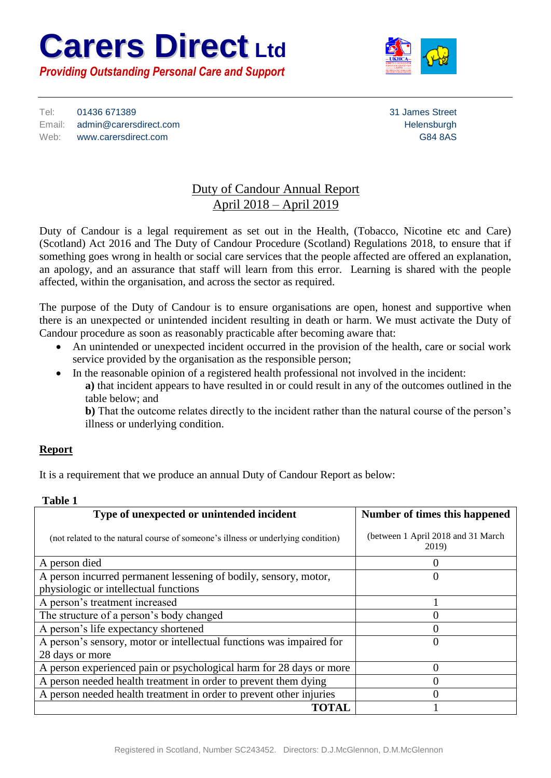# **Carers Direct Ltd** *Providing Outstanding Personal Care and Support*



Tel: 01436 671389 31 James Street Email: admin@carersdirect.com example and the entriesting of the entriesting of the Helensburgh Web: www.carersdirect.com example and the contract of the contract of the G84 8AS

## Duty of Candour Annual Report April 2018 – April 2019

Duty of Candour is a legal requirement as set out in the Health, (Tobacco, Nicotine etc and Care) (Scotland) Act 2016 and The Duty of Candour Procedure (Scotland) Regulations 2018, to ensure that if something goes wrong in health or social care services that the people affected are offered an explanation, an apology, and an assurance that staff will learn from this error. Learning is shared with the people affected, within the organisation, and across the sector as required.

The purpose of the Duty of Candour is to ensure organisations are open, honest and supportive when there is an unexpected or unintended incident resulting in death or harm. We must activate the Duty of Candour procedure as soon as reasonably practicable after becoming aware that:

- An unintended or unexpected incident occurred in the provision of the health, care or social work service provided by the organisation as the responsible person;
- In the reasonable opinion of a registered health professional not involved in the incident:

**a)** that incident appears to have resulted in or could result in any of the outcomes outlined in the table below; and

**b)** That the outcome relates directly to the incident rather than the natural course of the person's illness or underlying condition.

### **Report**

It is a requirement that we produce an annual Duty of Candour Report as below:

| <b>Table 1</b>                                                                   |                                             |
|----------------------------------------------------------------------------------|---------------------------------------------|
| Type of unexpected or unintended incident                                        | Number of times this happened               |
| (not related to the natural course of someone's illness or underlying condition) | (between 1 April 2018 and 31 March<br>2019) |
| A person died                                                                    |                                             |
| A person incurred permanent lessening of bodily, sensory, motor,                 | 0                                           |
| physiologic or intellectual functions                                            |                                             |
| A person's treatment increased                                                   |                                             |
| The structure of a person's body changed                                         | 0                                           |
| A person's life expectancy shortened                                             |                                             |
| A person's sensory, motor or intellectual functions was impaired for             | 0                                           |
| 28 days or more                                                                  |                                             |
| A person experienced pain or psychological harm for 28 days or more              | 0                                           |
| A person needed health treatment in order to prevent them dying                  | 0                                           |
| A person needed health treatment in order to prevent other injuries              |                                             |
| <b>TOTAL</b>                                                                     |                                             |